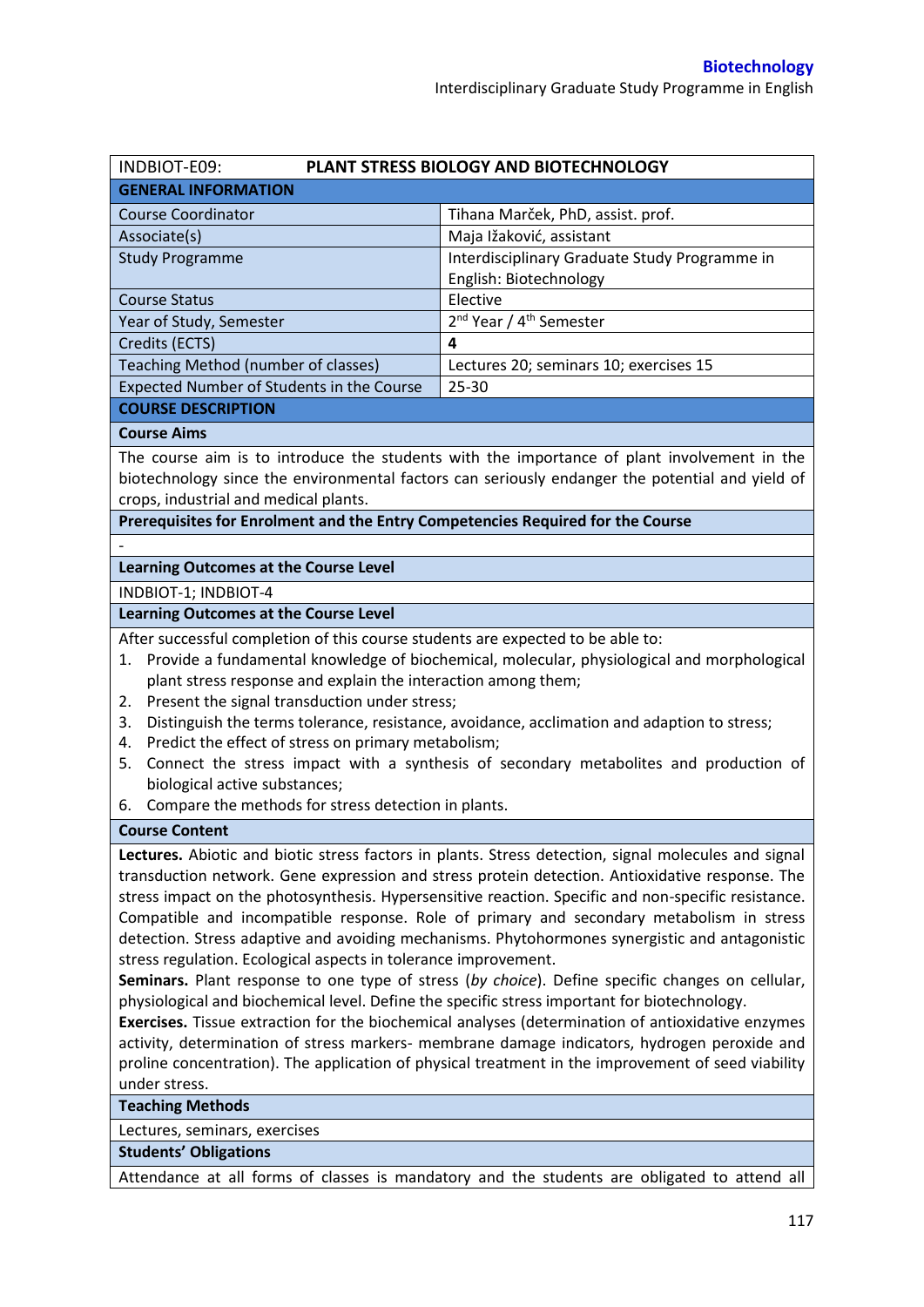| INDBIOT-E09:                                                                                       | PLANT STRESS BIOLOGY AND BIOTECHNOLOGY                                                               |  |  |  |
|----------------------------------------------------------------------------------------------------|------------------------------------------------------------------------------------------------------|--|--|--|
| <b>GENERAL INFORMATION</b>                                                                         |                                                                                                      |  |  |  |
| <b>Course Coordinator</b>                                                                          | Tihana Marček, PhD, assist. prof.                                                                    |  |  |  |
| Associate(s)                                                                                       | Maja Ižaković, assistant                                                                             |  |  |  |
| <b>Study Programme</b>                                                                             | Interdisciplinary Graduate Study Programme in                                                        |  |  |  |
|                                                                                                    | English: Biotechnology                                                                               |  |  |  |
| <b>Course Status</b>                                                                               | Elective                                                                                             |  |  |  |
| Year of Study, Semester                                                                            | 2 <sup>nd</sup> Year / 4 <sup>th</sup> Semester                                                      |  |  |  |
| Credits (ECTS)                                                                                     | 4                                                                                                    |  |  |  |
| Teaching Method (number of classes)                                                                | Lectures 20; seminars 10; exercises 15                                                               |  |  |  |
| Expected Number of Students in the Course                                                          | $25 - 30$                                                                                            |  |  |  |
| <b>COURSE DESCRIPTION</b>                                                                          |                                                                                                      |  |  |  |
| <b>Course Aims</b>                                                                                 |                                                                                                      |  |  |  |
|                                                                                                    | The course aim is to introduce the students with the importance of plant involvement in the          |  |  |  |
|                                                                                                    | biotechnology since the environmental factors can seriously endanger the potential and yield of      |  |  |  |
| crops, industrial and medical plants.                                                              |                                                                                                      |  |  |  |
| Prerequisites for Enrolment and the Entry Competencies Required for the Course                     |                                                                                                      |  |  |  |
|                                                                                                    |                                                                                                      |  |  |  |
| <b>Learning Outcomes at the Course Level</b>                                                       |                                                                                                      |  |  |  |
| INDBIOT-1; INDBIOT-4                                                                               |                                                                                                      |  |  |  |
| <b>Learning Outcomes at the Course Level</b>                                                       |                                                                                                      |  |  |  |
| After successful completion of this course students are expected to be able to:                    |                                                                                                      |  |  |  |
| 1.                                                                                                 | Provide a fundamental knowledge of biochemical, molecular, physiological and morphological           |  |  |  |
| plant stress response and explain the interaction among them;                                      |                                                                                                      |  |  |  |
| Present the signal transduction under stress;<br>2.                                                |                                                                                                      |  |  |  |
| 3.                                                                                                 | Distinguish the terms tolerance, resistance, avoidance, acclimation and adaption to stress;          |  |  |  |
| Predict the effect of stress on primary metabolism;<br>4.                                          |                                                                                                      |  |  |  |
| 5.                                                                                                 | Connect the stress impact with a synthesis of secondary metabolites and production of                |  |  |  |
| biological active substances;                                                                      |                                                                                                      |  |  |  |
| Compare the methods for stress detection in plants.<br>6.                                          |                                                                                                      |  |  |  |
| <b>Course Content</b>                                                                              |                                                                                                      |  |  |  |
|                                                                                                    | Lectures. Abiotic and biotic stress factors in plants. Stress detection, signal molecules and signal |  |  |  |
|                                                                                                    | transduction network. Gene expression and stress protein detection. Antioxidative response. The      |  |  |  |
|                                                                                                    | stress impact on the photosynthesis. Hypersensitive reaction. Specific and non-specific resistance.  |  |  |  |
|                                                                                                    | Compatible and incompatible response. Role of primary and secondary metabolism in stress             |  |  |  |
|                                                                                                    | detection. Stress adaptive and avoiding mechanisms. Phytohormones synergistic and antagonistic       |  |  |  |
| stress regulation. Ecological aspects in tolerance improvement.                                    |                                                                                                      |  |  |  |
| Seminars. Plant response to one type of stress (by choice). Define specific changes on cellular,   |                                                                                                      |  |  |  |
| physiological and biochemical level. Define the specific stress important for biotechnology.       |                                                                                                      |  |  |  |
| Exercises. Tissue extraction for the biochemical analyses (determination of antioxidative enzymes  |                                                                                                      |  |  |  |
| activity, determination of stress markers- membrane damage indicators, hydrogen peroxide and       |                                                                                                      |  |  |  |
| proline concentration). The application of physical treatment in the improvement of seed viability |                                                                                                      |  |  |  |
| under stress.                                                                                      |                                                                                                      |  |  |  |
| <b>Teaching Methods</b>                                                                            |                                                                                                      |  |  |  |
| Lectures, seminars, exercises                                                                      |                                                                                                      |  |  |  |
| <b>Students' Obligations</b>                                                                       |                                                                                                      |  |  |  |
| Attendance at all forms of classes is mandatory and the students are obligated to attend all       |                                                                                                      |  |  |  |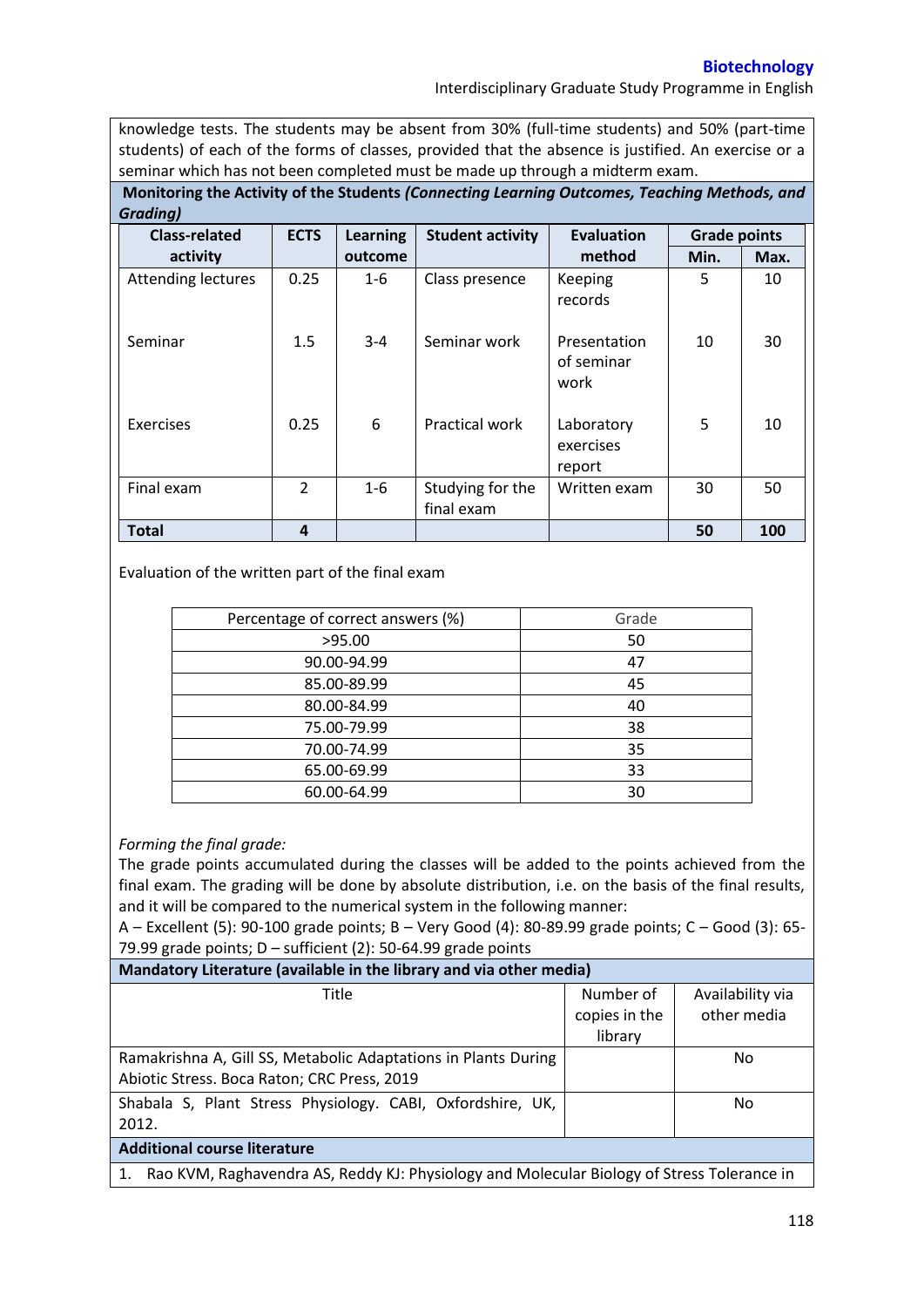## **Biotechnology**

Interdisciplinary Graduate Study Programme in English

knowledge tests. The students may be absent from 30% (full-time students) and 50% (part-time students) of each of the forms of classes, provided that the absence is justified. An exercise or a seminar which has not been completed must be made up through a midterm exam.

**Monitoring the Activity of the Students** *(Connecting Learning Outcomes, Teaching Methods, and Grading)*

| <b>Class-related</b>      | <b>ECTS</b>   | <b>Learning</b> | <b>Student activity</b>        | <b>Evaluation</b>                  | <b>Grade points</b> |      |
|---------------------------|---------------|-----------------|--------------------------------|------------------------------------|---------------------|------|
| activity                  |               | outcome         |                                | method                             | Min.                | Max. |
| <b>Attending lectures</b> | 0.25          | $1 - 6$         | Class presence                 | <b>Keeping</b><br>records          | 5                   | 10   |
| Seminar                   | 1.5           | $3 - 4$         | Seminar work                   | Presentation<br>of seminar<br>work | 10                  | 30   |
| <b>Exercises</b>          | 0.25          | 6               | Practical work                 | Laboratory<br>exercises<br>report  | 5                   | 10   |
| Final exam                | $\mathcal{P}$ | $1 - 6$         | Studying for the<br>final exam | Written exam                       | 30                  | 50   |
| <b>Total</b>              | 4             |                 |                                |                                    | 50                  | 100  |

## Evaluation of the written part of the final exam

| Percentage of correct answers (%) | Grade |  |
|-----------------------------------|-------|--|
| >95.00                            | 50    |  |
| 90.00-94.99                       | 47    |  |
| 85.00-89.99                       | 45    |  |
| 80.00-84.99                       | 40    |  |
| 75.00-79.99                       | 38    |  |
| 70.00-74.99                       | 35    |  |
| 65.00-69.99                       | 33    |  |
| 60.00-64.99                       | 30    |  |

## *Forming the final grade:*

The grade points accumulated during the classes will be added to the points achieved from the final exam. The grading will be done by absolute distribution, i.e. on the basis of the final results, and it will be compared to the numerical system in the following manner:

A – Excellent (5): 90-100 grade points; B – Very Good (4): 80-89.99 grade points; C – Good (3): 65- 79.99 grade points;  $D$  – sufficient (2): 50-64.99 grade points

| Mandatory Literature (available in the library and via other media)                              |               |                  |  |  |  |
|--------------------------------------------------------------------------------------------------|---------------|------------------|--|--|--|
| Title                                                                                            | Number of     | Availability via |  |  |  |
|                                                                                                  | copies in the | other media      |  |  |  |
|                                                                                                  | library       |                  |  |  |  |
| Ramakrishna A, Gill SS, Metabolic Adaptations in Plants During                                   |               | No.              |  |  |  |
| Abiotic Stress. Boca Raton; CRC Press, 2019                                                      |               |                  |  |  |  |
| Shabala S, Plant Stress Physiology. CABI, Oxfordshire, UK,                                       |               | No.              |  |  |  |
| 2012.                                                                                            |               |                  |  |  |  |
| <b>Additional course literature</b>                                                              |               |                  |  |  |  |
| Rao KVM, Raghavendra AS, Reddy KJ: Physiology and Molecular Biology of Stress Tolerance in<br>1. |               |                  |  |  |  |